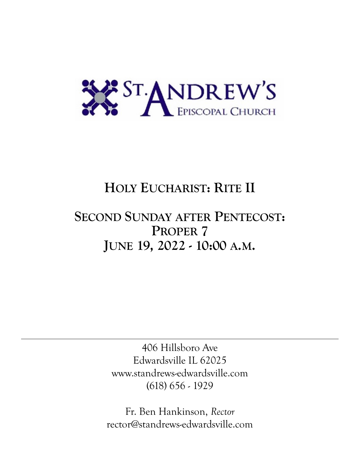

# **HOLY EUCHARIST: RITE II**

# **SECOND SUNDAY AFTER PENTECOST: PROPER 7 JUNE 19, 2022 - 10:00 A.M.**

406 Hillsboro Ave Edwardsville IL 62025 www.standrews-edwardsville.com (618) 656 - 1929

Fr. Ben Hankinson, *Rector*  rector@standrews-edwardsville.com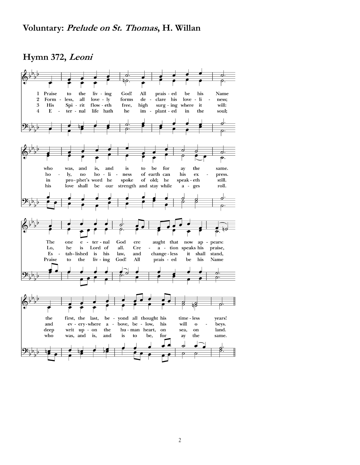### **Hymn 372, Leoni**

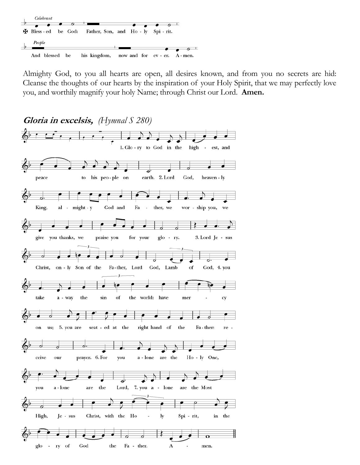

Almighty God, to you all hearts are open, all desires known, and from you no secrets are hid: Cleanse the thoughts of our hearts by the inspiration of your Holy Spirit, that we may perfectly love you, and worthily magnify your holy Name; through Christ our Lord. **Amen.**

**Gloria in excelsis,** *(Hymnal S 280)* 1. Glo-ry to God in the high - est, and peace to his peo-ple on earth. 2. Lord God, heaven - ly 力. King, al might - y God and Fa - ther, we wor - ship you, we give you thanks, we praise you for your 3. Lord Je - sus  $g$ lo - ry. ∙ا  $\overline{\phantom{a}}$  $\overline{\phantom{a}}$ Christ, on - ly Son of the Fa-ther, Lord God, Lamb  $_{\rm of}$ God, 4. you take a - way the  $sin$ of the world: have mer cy ⊝ us; 5. you are seat - ed at the right hand of the Fa-ther: on re - $\sigma$ o. ceive prayer. 6. For a-lone are the Ho - ly One, our you you a - lone are the Lord, 7. you a - lone are the Most

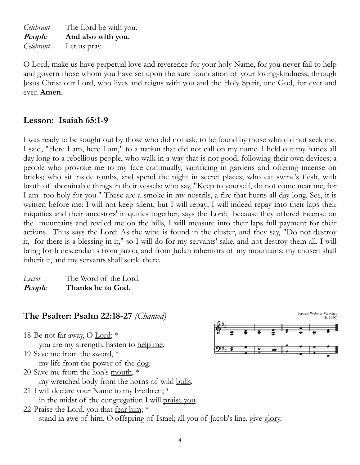*Celebrant* The Lord be with you. **People And also with you.** *Celebrant* Let us pray.

O Lord, make us have perpetual love and reverence for your holy Name, for you never fail to help and govern those whom you have set upon the sure foundation of your loving-kindness; through Jesus Christ our Lord, who lives and reigns with you and the Holy Spirit, one God, for ever and ever. **Amen.**

# **Lesson: Isaiah 65:1-9**

I was ready to be sought out by those who did not ask, to be found by those who did not seek me. I said, "Here I am, here I am," to a nation that did not call on my name. I held out my hands all day long to a rebellious people, who walk in a way that is not good, following their own devices; a people who provoke me to my face continually, sacrificing in gardens and offering incense on bricks; who sit inside tombs, and spend the night in secret places; who eat swine's flesh, with broth of abominable things in their vessels; who say, "Keep to yourself, do not come near me, for I am too holy for you." These are a smoke in my nostrils, a fire that burns all day long. See, it is written before me: I will not keep silent, but I will repay; I will indeed repay into their laps their iniquities and their ancestors' iniquities together, says the Lord; because they offered incense on the mountains and reviled me on the hills, I will measure into their laps full payment for their actions. Thus says the Lord: As the wine is found in the cluster, and they say, "Do not destroy it, for there is a blessing in it," so I will do for my servants' sake, and not destroy them all. I will bring forth descendants from Jacob, and from Judah inheritors of my mountains; my chosen shall inherit it, and my servants shall settle there.

Lector The Word of the Lord. **People Thanks be to God.**

### **The Psalter: Psalm 22:18-27** *(Chanted)*

18 Be not far away, O <u>Lord</u>; \* you are my strength; hasten to help me. 19 Save me from the sword,  $*$ my life from the power of the <u>dog</u>.

- 20 Save me from the lion's mouth, \* my wretched body from the horns of wild bulls.
- 21 I will declare your Name to my brethren; \* in the midst of the congregation I will praise you.
- 22 Praise the Lord, you that fear him; \* stand in awe of him, O offspring of Israel; all you of Jacob's line, give glory.

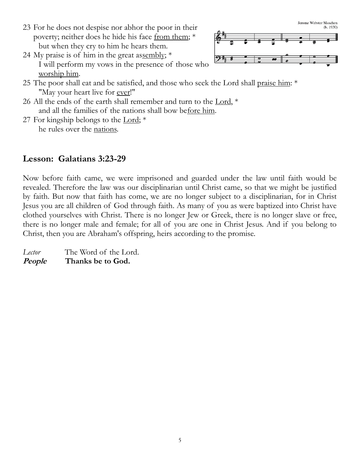- 23 For he does not despise nor abhor the poor in their poverty; neither does he hide his face <u>from them</u>; \* but when they cry to him he hears them.
- 24 My praise is of him in the great assembly;  $*$ I will perform my vows in the presence of those who worship him.



- 25 The poor shall eat and be satisfied, and those who seek the Lord shall praise him: \* "May your heart live for <u>ever</u>!"
- 26 All the ends of the earth shall remember and turn to the Lord, \* and all the families of the nations shall bow before him.
- 27 For kingship belongs to the Lord;  $*$ he rules over the nations.

# **Lesson: Galatians 3:23-29**

Now before faith came, we were imprisoned and guarded under the law until faith would be revealed. Therefore the law was our disciplinarian until Christ came, so that we might be justified by faith. But now that faith has come, we are no longer subject to a disciplinarian, for in Christ Jesus you are all children of God through faith. As many of you as were baptized into Christ have clothed yourselves with Christ. There is no longer Jew or Greek, there is no longer slave or free, there is no longer male and female; for all of you are one in Christ Jesus. And if you belong to Christ, then you are Abraham's offspring, heirs according to the promise.

| Lector | The Word of the Lord. |
|--------|-----------------------|
| People | Thanks be to God.     |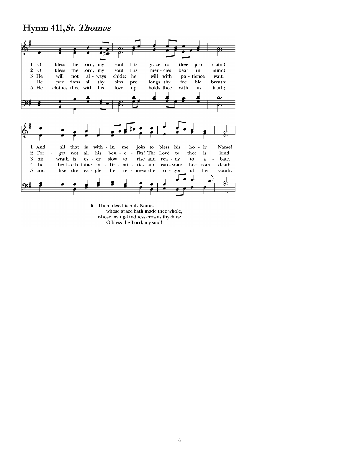# **Hymn 411,St. Thomas**



6 Then bless his holy Name, whose grace hath made thee whole, whose loving-kindness crowns thy days: O bless the Lord, my soul!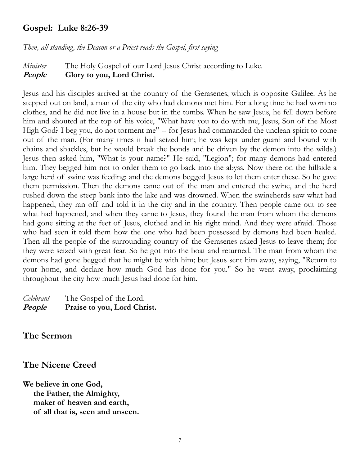### **Gospel: Luke 8:26-39**

*Then, all standing, the Deacon or a Priest reads the Gospel, first saying* 

*Minister* The Holy Gospel of our Lord Jesus Christ according to Luke. **People Glory to you, Lord Christ.**

Jesus and his disciples arrived at the country of the Gerasenes, which is opposite Galilee. As he stepped out on land, a man of the city who had demons met him. For a long time he had worn no clothes, and he did not live in a house but in the tombs. When he saw Jesus, he fell down before him and shouted at the top of his voice, "What have you to do with me, Jesus, Son of the Most High God? I beg you, do not torment me" -- for Jesus had commanded the unclean spirit to come out of the man. (For many times it had seized him; he was kept under guard and bound with chains and shackles, but he would break the bonds and be driven by the demon into the wilds.) Jesus then asked him, "What is your name?" He said, "Legion"; for many demons had entered him. They begged him not to order them to go back into the abyss. Now there on the hillside a large herd of swine was feeding; and the demons begged Jesus to let them enter these. So he gave them permission. Then the demons came out of the man and entered the swine, and the herd rushed down the steep bank into the lake and was drowned. When the swineherds saw what had happened, they ran off and told it in the city and in the country. Then people came out to see what had happened, and when they came to Jesus, they found the man from whom the demons had gone sitting at the feet of Jesus, clothed and in his right mind. And they were afraid. Those who had seen it told them how the one who had been possessed by demons had been healed. Then all the people of the surrounding country of the Gerasenes asked Jesus to leave them; for they were seized with great fear. So he got into the boat and returned. The man from whom the demons had gone begged that he might be with him; but Jesus sent him away, saying, "Return to your home, and declare how much God has done for you." So he went away, proclaiming throughout the city how much Jesus had done for him.

| Celebrant | The Gospel of the Lord.     |
|-----------|-----------------------------|
| People    | Praise to you, Lord Christ. |

**The Sermon**

**The Nicene Creed** 

**We believe in one God, the Father, the Almighty, maker of heaven and earth, of all that is, seen and unseen.**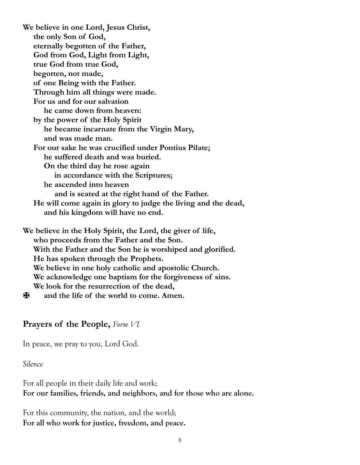**We believe in one Lord, Jesus Christ, the only Son of God, eternally begotten of the Father, God from God, Light from Light, true God from true God, begotten, not made, of one Being with the Father. Through him all things were made. For us and for our salvation he came down from heaven: by the power of the Holy Spirit he became incarnate from the Virgin Mary, and was made man. For our sake he was crucified under Pontius Pilate; he suffered death and was buried. On the third day he rose again in accordance with the Scriptures; he ascended into heaven and is seated at the right hand of the Father. He will come again in glory to judge the living and the dead, and his kingdom will have no end. We believe in the Holy Spirit, the Lord, the giver of life, who proceeds from the Father and the Son. With the Father and the Son he is worshiped and glorified. He has spoken through the Prophets. We believe in one holy catholic and apostolic Church.** 

- **We acknowledge one baptism for the forgiveness of sins. We look for the resurrection of the dead,**
- ✠ **and the life of the world to come. Amen.**

### **Prayers of the People,** *Form VI*

In peace, we pray to you, Lord God.

*Silence*

For all people in their daily life and work; **For our families, friends, and neighbors, and for those who are alone.**

For this community, the nation, and the world; **For all who work for justice, freedom, and peace.**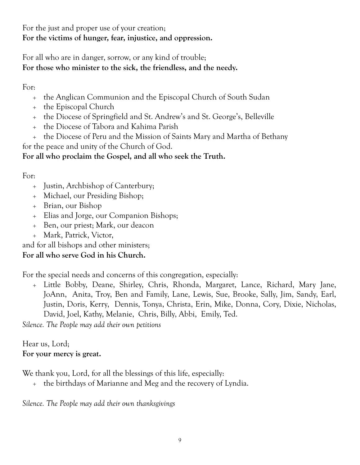For the just and proper use of your creation; **For the victims of hunger, fear, injustice, and oppression.**

For all who are in danger, sorrow, or any kind of trouble; **For those who minister to the sick, the friendless, and the needy.**

For:

- + the Anglican Communion and the Episcopal Church of South Sudan
- + the Episcopal Church
- + the Diocese of Springfield and St. Andrew's and St. George's, Belleville
- + the Diocese of Tabora and Kahima Parish
- + the Diocese of Peru and the Mission of Saints Mary and Martha of Bethany for the peace and unity of the Church of God.

# **For all who proclaim the Gospel, and all who seek the Truth.**

For:

- + Justin, Archbishop of Canterbury;
- + Michael, our Presiding Bishop;
- + Brian, our Bishop
- + Elias and Jorge, our Companion Bishops;
- + Ben, our priest; Mark, our deacon
- + Mark, Patrick, Victor,

and for all bishops and other ministers;

# **For all who serve God in his Church.**

For the special needs and concerns of this congregation, especially:

+ Little Bobby, Deane, Shirley, Chris, Rhonda, Margaret, Lance, Richard, Mary Jane, JoAnn, Anita, Troy, Ben and Family, Lane, Lewis, Sue, Brooke, Sally, Jim, Sandy, Earl, Justin, Doris, Kerry, Dennis, Tonya, Christa, Erin, Mike, Donna, Cory, Dixie, Nicholas, David, Joel, Kathy, Melanie, Chris, Billy, Abbi, Emily, Ted.

*Silence. The People may add their own petitions*

Hear us, Lord; **For your mercy is great.**

We thank you, Lord, for all the blessings of this life, especially:

+ the birthdays of Marianne and Meg and the recovery of Lyndia.

*Silence. The People may add their own thanksgivings*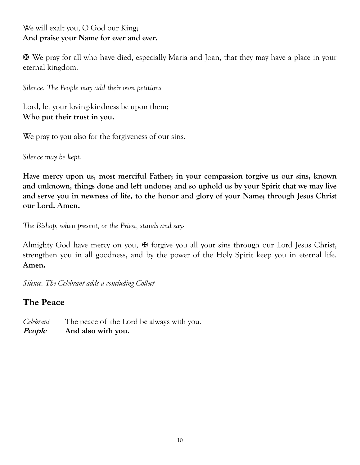# We will exalt you, O God our King; **And praise your Name for ever and ever.**

✠ We pray for all who have died, especially Maria and Joan, that they may have a place in your eternal kingdom.

*Silence. The People may add their own petitions*

Lord, let your loving-kindness be upon them; **Who put their trust in you.**

We pray to you also for the forgiveness of our sins.

*Silence may be kept.*

**Have mercy upon us, most merciful Father; in your compassion forgive us our sins, known and unknown, things done and left undone; and so uphold us by your Spirit that we may live and serve you in newness of life, to the honor and glory of your Name; through Jesus Christ our Lord. Amen.**

*The Bishop, when present, or the Priest, stands and says*

Almighty God have mercy on you,  $\mathbf{\Psi}$  forgive you all your sins through our Lord Jesus Christ, strengthen you in all goodness, and by the power of the Holy Spirit keep you in eternal life. **Amen.** 

*Silence. The Celebrant adds a concluding Collect*

### **The Peace**

*Celebrant* The peace of the Lord be always with you. **People And also with you.**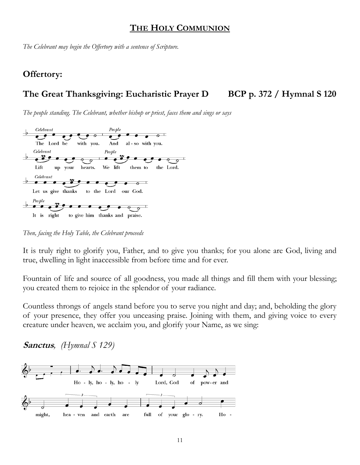### **THE HOLY COMMUNION**

*The Celebrant may begin the Offertory with a sentence of Scripture.* 

## **Offertory:**

# **The Great Thanksgiving: Eucharistic Prayer D BCP p. 372 / Hymnal S 120**

*The people standing. The Celebrant, whether bishop or priest, faces them and sings or says*



*Then, facing the Holy Table, the Celebrant proceeds*

It is truly right to glorify you, Father, and to give you thanks; for you alone are God, living and true, dwelling in light inaccessible from before time and for ever.

Fountain of life and source of all goodness, you made all things and fill them with your blessing; you created them to rejoice in the splendor of your radiance.

Countless throngs of angels stand before you to serve you night and day; and, beholding the glory of your presence, they offer you unceasing praise. Joining with them, and giving voice to every creature under heaven, we acclaim you, and glorify your Name, as we sing:

**Sanctus***, (Hymnal S 129)*

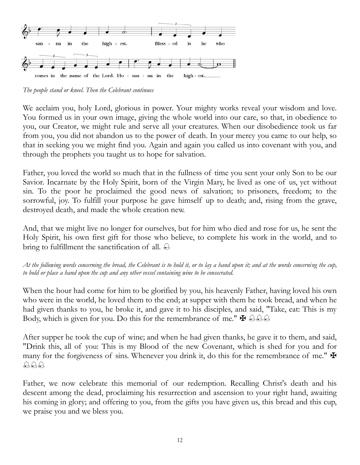

*The people stand or kneel. Then the Celebrant continues*

We acclaim you, holy Lord, glorious in power. Your mighty works reveal your wisdom and love. You formed us in your own image, giving the whole world into our care, so that, in obedience to you, our Creator, we might rule and serve all your creatures. When our disobedience took us far from you, you did not abandon us to the power of death. In your mercy you came to our help, so that in seeking you we might find you. Again and again you called us into covenant with you, and through the prophets you taught us to hope for salvation.

Father, you loved the world so much that in the fullness of time you sent your only Son to be our Savior. Incarnate by the Holy Spirit, born of the Virgin Mary, he lived as one of us, yet without sin. To the poor he proclaimed the good news of salvation; to prisoners, freedom; to the sorrowful, joy. To fulfill your purpose he gave himself up to death; and, rising from the grave, destroyed death, and made the whole creation new.

And, that we might live no longer for ourselves, but for him who died and rose for us, he sent the Holy Spirit, his own first gift for those who believe, to complete his work in the world, and to bring to fulfillment the sanctification of all.  $\ominus$ 

*At the following words concerning the bread, the Celebrant is to hold it, or to lay a hand upon it; and at the words concerning the cup, to hold or place a hand upon the cup and any other vessel containing wine to be consecrated.*

When the hour had come for him to be glorified by you, his heavenly Father, having loved his own who were in the world, he loved them to the end; at supper with them he took bread, and when he had given thanks to you, he broke it, and gave it to his disciples, and said, "Take, eat: This is my Body, which is given for you. Do this for the remembrance of me."  $\mathbf{\mathbf{\mathbf{\mathcal{H}}}}\triangle\triangle\triangle\mathbf{\mathbf{\mathcal{A}}}$ 

After supper he took the cup of wine; and when he had given thanks, he gave it to them, and said, "Drink this, all of you: This is my Blood of the new Covenant, which is shed for you and for many for the forgiveness of sins. Whenever you drink it, do this for the remembrance of me."  $\mathbf{\mathbf{\mathbf{\mathsf{F}}}}$  $AAA$ 

Father, we now celebrate this memorial of our redemption. Recalling Christ's death and his descent among the dead, proclaiming his resurrection and ascension to your right hand, awaiting his coming in glory; and offering to you, from the gifts you have given us, this bread and this cup, we praise you and we bless you.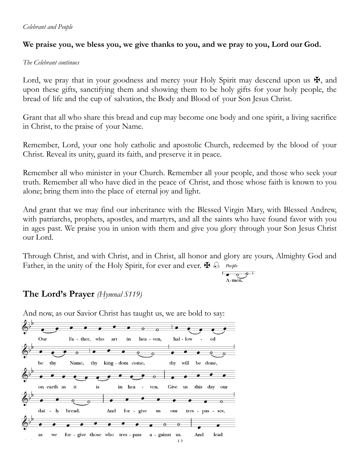#### *Celebrant and People*

### **We praise you, we bless you, we give thanks to you, and we pray to you, Lord our God.**

#### *The Celebrant continues*

Lord, we pray that in your goodness and mercy your Holy Spirit may descend upon us  $\mathbf{\Psi}$ , and upon these gifts, sanctifying them and showing them to be holy gifts for your holy people, the bread of life and the cup of salvation, the Body and Blood of your Son Jesus Christ.

Grant that all who share this bread and cup may become one body and one spirit, a living sacrifice in Christ, to the praise of your Name.

Remember, Lord, your one holy catholic and apostolic Church, redeemed by the blood of your Christ. Reveal its unity, guard its faith, and preserve it in peace.

Remember all who minister in your Church. Remember all your people, and those who seek your truth. Remember all who have died in the peace of Christ, and those whose faith is known to you alone; bring them into the place of eternal joy and light.

And grant that we may find our inheritance with the Blessed Virgin Mary, with Blessed Andrew, with patriarchs, prophets, apostles, and martyrs, and all the saints who have found favor with you in ages past. We praise you in union with them and give you glory through your Son Jesus Christ our Lord.

Through Christ, and with Christ, and in Christ, all honor and glory are yours, Almighty God and Father, in the unity of the Holy Spirit, for ever and ever.  $\mathbf{\Psi} \triangle$  People

$$
\begin{array}{c}\n\bullet \quad \circ \\
\bullet \\
\text{A-men.}\n\end{array}
$$

# **The Lord's Prayer** *(Hymnal S119)*



And now, as our Savior Christ has taught us, we are bold to say: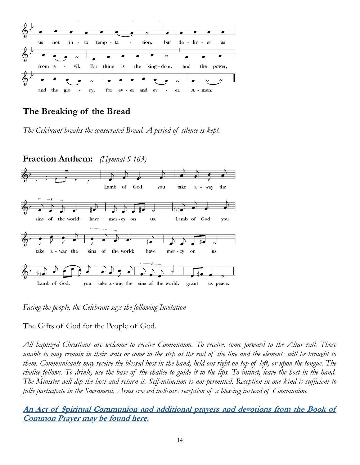

# **The Breaking of the Bread**

*The Celebrant breaks the consecrated Bread. A period of silence is kept.*



*Facing the people, the Celebrant says the following Invitation*

The Gifts of God for the People of God.

*All baptized Christians are welcome to receive Communion. To receive, come forward to the Altar rail. Those unable to may remain in their seats or come to the step at the end of the line and the elements will be brought to them. Communicants may receive the blessed host in the hand, held out right on top of left, or upon the tongue. The chalice follows. To drink, use the base of the chalice to guide it to the lips. To intinct, leave the host in the hand. The Minister will dip the host and return it. Self-intinction is not permitted. Reception in one kind is sufficient to fully participate in the Sacrament. Arms crossed indicates reception of a blessing instead of Communion.* 

**An Act of Spiritual Communion and [additional prayers and devotions from the Book of](https://www.standrews-edwardsville.com/uploads/sermons/spiritual-communion-and-devotions_130.pdf) [Common Prayer may be found here.](https://www.standrews-edwardsville.com/uploads/sermons/spiritual-communion-and-devotions_130.pdf)**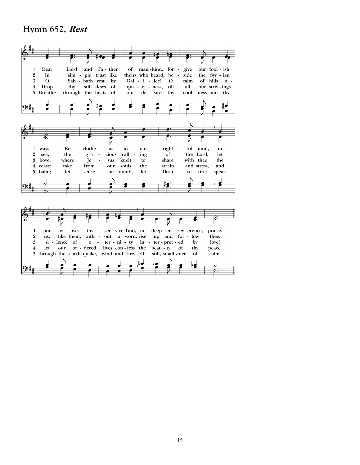### **Hymn 652, Rest**

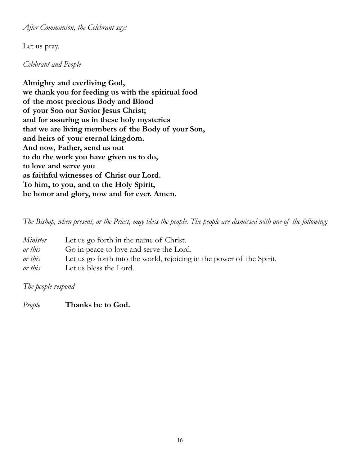*After Communion, the Celebrant says*

Let us pray.

### *Celebrant and People*

**Almighty and everliving God, we thank you for feeding us with the spiritual food of the most precious Body and Blood of your Son our Savior Jesus Christ; and for assuring us in these holy mysteries that we are living members of the Body of your Son, and heirs of your eternal kingdom. And now, Father, send us out to do the work you have given us to do, to love and serve you as faithful witnesses of Christ our Lord. To him, to you, and to the Holy Spirit, be honor and glory, now and for ever. Amen.**

*The Bishop, when present, or the Priest, may bless the people. The people are dismissed with one of the following:*

| Minister | Let us go forth in the name of Christ.                                |
|----------|-----------------------------------------------------------------------|
| or this  | Go in peace to love and serve the Lord.                               |
| or this  | Let us go forth into the world, rejoicing in the power of the Spirit. |
| or this  | Let us bless the Lord.                                                |

*The people respond*

*People* **Thanks be to God.**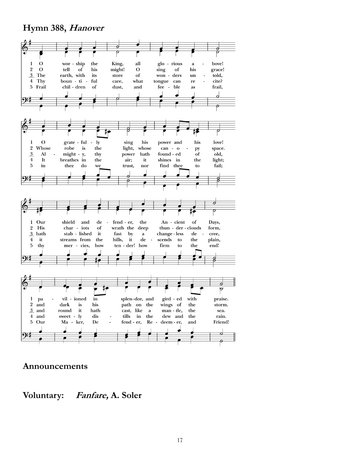# **Hymn 388, Hanover**



### **Announcements**

# **Voluntary: Fanfare, A. Soler**